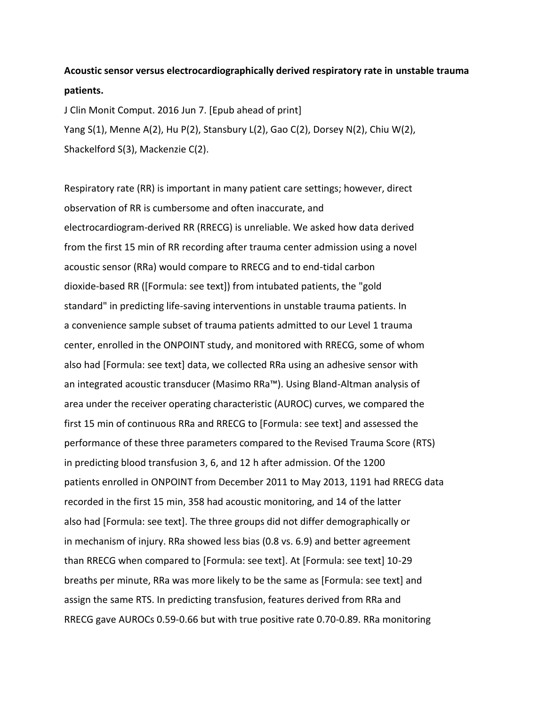## **Acoustic sensor versus electrocardiographically derived respiratory rate in unstable trauma patients.**

J Clin Monit Comput. 2016 Jun 7. [Epub ahead of print] Yang S(1), Menne A(2), Hu P(2), Stansbury L(2), Gao C(2), Dorsey N(2), Chiu W(2), Shackelford S(3), Mackenzie C(2).

Respiratory rate (RR) is important in many patient care settings; however, direct observation of RR is cumbersome and often inaccurate, and electrocardiogram-derived RR (RRECG) is unreliable. We asked how data derived from the first 15 min of RR recording after trauma center admission using a novel acoustic sensor (RRa) would compare to RRECG and to end-tidal carbon dioxide-based RR ([Formula: see text]) from intubated patients, the "gold standard" in predicting life-saving interventions in unstable trauma patients. In a convenience sample subset of trauma patients admitted to our Level 1 trauma center, enrolled in the ONPOINT study, and monitored with RRECG, some of whom also had [Formula: see text] data, we collected RRa using an adhesive sensor with an integrated acoustic transducer (Masimo RRa™). Using Bland-Altman analysis of area under the receiver operating characteristic (AUROC) curves, we compared the first 15 min of continuous RRa and RRECG to [Formula: see text] and assessed the performance of these three parameters compared to the Revised Trauma Score (RTS) in predicting blood transfusion 3, 6, and 12 h after admission. Of the 1200 patients enrolled in ONPOINT from December 2011 to May 2013, 1191 had RRECG data recorded in the first 15 min, 358 had acoustic monitoring, and 14 of the latter also had [Formula: see text]. The three groups did not differ demographically or in mechanism of injury. RRa showed less bias (0.8 vs. 6.9) and better agreement than RRECG when compared to [Formula: see text]. At [Formula: see text] 10-29 breaths per minute, RRa was more likely to be the same as [Formula: see text] and assign the same RTS. In predicting transfusion, features derived from RRa and RRECG gave AUROCs 0.59-0.66 but with true positive rate 0.70-0.89. RRa monitoring